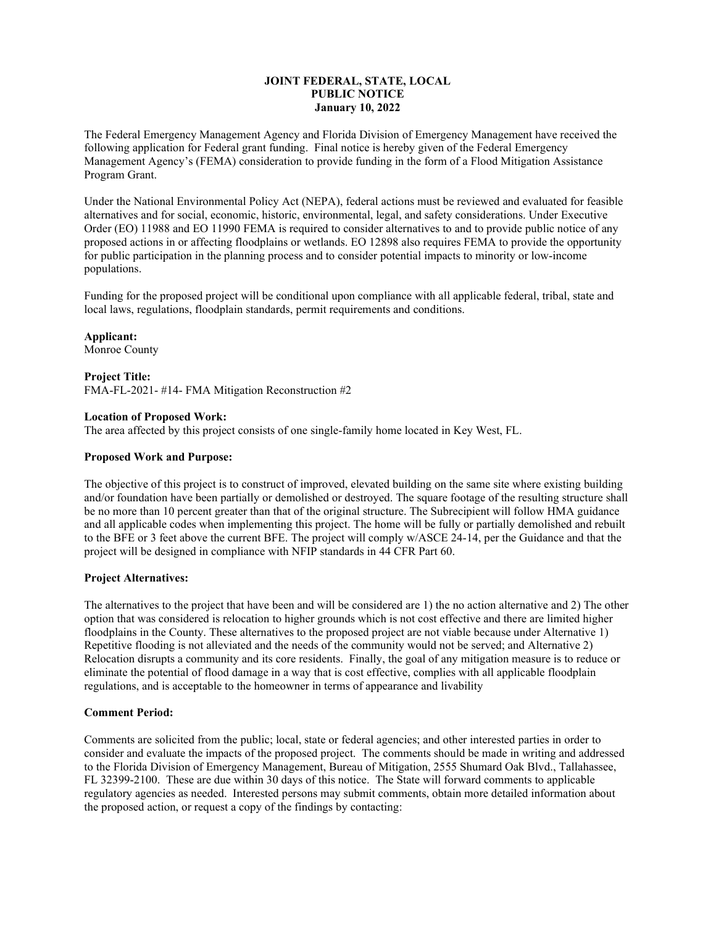# **JOINT FEDERAL, STATE, LOCAL PUBLIC NOTICE January 10, 2022**

The Federal Emergency Management Agency and Florida Division of Emergency Management have received the following application for Federal grant funding. Final notice is hereby given of the Federal Emergency Management Agency's (FEMA) consideration to provide funding in the form of a Flood Mitigation Assistance Program Grant.

Under the National Environmental Policy Act (NEPA), federal actions must be reviewed and evaluated for feasible alternatives and for social, economic, historic, environmental, legal, and safety considerations. Under Executive Order (EO) 11988 and EO 11990 FEMA is required to consider alternatives to and to provide public notice of any proposed actions in or affecting floodplains or wetlands. EO 12898 also requires FEMA to provide the opportunity for public participation in the planning process and to consider potential impacts to minority or low-income populations.

Funding for the proposed project will be conditional upon compliance with all applicable federal, tribal, state and local laws, regulations, floodplain standards, permit requirements and conditions.

**Applicant:**

Monroe County

## **Project Title:**

FMA-FL-2021- #14- FMA Mitigation Reconstruction #2

## **Location of Proposed Work:**

The area affected by this project consists of one single-family home located in Key West, FL.

### **Proposed Work and Purpose:**

The objective of this project is to construct of improved, elevated building on the same site where existing building and/or foundation have been partially or demolished or destroyed. The square footage of the resulting structure shall be no more than 10 percent greater than that of the original structure. The Subrecipient will follow HMA guidance and all applicable codes when implementing this project. The home will be fully or partially demolished and rebuilt to the BFE or 3 feet above the current BFE. The project will comply w/ASCE 24-14, per the Guidance and that the project will be designed in compliance with NFIP standards in 44 CFR Part 60.

## **Project Alternatives:**

The alternatives to the project that have been and will be considered are 1) the no action alternative and 2) The other option that was considered is relocation to higher grounds which is not cost effective and there are limited higher floodplains in the County. These alternatives to the proposed project are not viable because under Alternative 1) Repetitive flooding is not alleviated and the needs of the community would not be served; and Alternative 2) Relocation disrupts a community and its core residents. Finally, the goal of any mitigation measure is to reduce or eliminate the potential of flood damage in a way that is cost effective, complies with all applicable floodplain regulations, and is acceptable to the homeowner in terms of appearance and livability

#### **Comment Period:**

Comments are solicited from the public; local, state or federal agencies; and other interested parties in order to consider and evaluate the impacts of the proposed project. The comments should be made in writing and addressed to the Florida Division of Emergency Management, Bureau of Mitigation, 2555 Shumard Oak Blvd., Tallahassee, FL 32399-2100. These are due within 30 days of this notice. The State will forward comments to applicable regulatory agencies as needed. Interested persons may submit comments, obtain more detailed information about the proposed action, or request a copy of the findings by contacting: